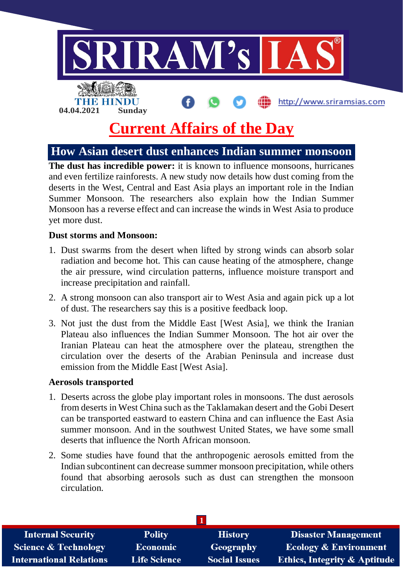

# **Current Affairs of the Day**

# **How Asian desert dust enhances Indian summer monsoon**

**The dust has incredible power:** it is known to influence monsoons, hurricanes and even fertilize rainforests. A new study now details how dust coming from the deserts in the West, Central and East Asia plays an important role in the Indian Summer Monsoon. The researchers also explain how the Indian Summer Monsoon has a reverse effect and can increase the winds in West Asia to produce yet more dust.

#### **Dust storms and Monsoon:**

- 1. Dust swarms from the desert when lifted by strong winds can absorb solar radiation and become hot. This can cause heating of the atmosphere, change the air pressure, wind circulation patterns, influence moisture transport and increase precipitation and rainfall.
- 2. A strong monsoon can also transport air to West Asia and again pick up a lot of dust. The researchers say this is a positive feedback loop.
- 3. Not just the dust from the Middle East [West Asia], we think the Iranian Plateau also influences the Indian Summer Monsoon. The hot air over the Iranian Plateau can heat the atmosphere over the plateau, strengthen the circulation over the deserts of the Arabian Peninsula and increase dust emission from the Middle East [West Asia].

#### **Aerosols transported**

- 1. Deserts across the globe play important roles in monsoons. The dust aerosols from deserts in West China such as the Taklamakan desert and the Gobi Desert can be transported eastward to eastern China and can influence the East Asia summer monsoon. And in the southwest United States, we have some small deserts that influence the North African monsoon.
- 2. Some studies have found that the anthropogenic aerosols emitted from the Indian subcontinent can decrease summer monsoon precipitation, while others found that absorbing aerosols such as dust can strengthen the monsoon circulation.

| <b>Internal Security</b>        | <b>Polity</b>       | <b>History</b>       | <b>Disaster Management</b>              |
|---------------------------------|---------------------|----------------------|-----------------------------------------|
| <b>Science &amp; Technology</b> | <b>Economic</b>     | Geography            | <b>Ecology &amp; Environment</b>        |
| <b>International Relations</b>  | <b>Life Science</b> | <b>Social Issues</b> | <b>Ethics, Integrity &amp; Aptitude</b> |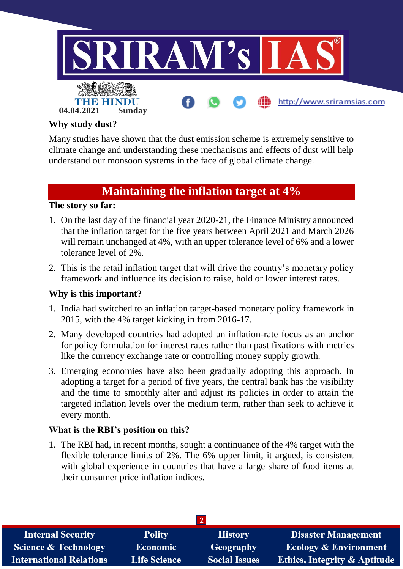

#### **Why study dust?**

Many studies have shown that the dust emission scheme is extremely sensitive to climate change and understanding these mechanisms and effects of dust will help understand our monsoon systems in the face of global climate change.

## **Maintaining the inflation target at 4%**

## **The story so far:**

- 1. On the last day of the financial year 2020-21, the Finance Ministry announced that the inflation target for the five years between April 2021 and March 2026 will remain unchanged at 4%, with an upper tolerance level of 6% and a lower tolerance level of 2%.
- 2. This is the retail inflation target that will drive the country's monetary policy framework and influence its decision to raise, hold or lower interest rates.

## **Why is this important?**

- 1. India had switched to an inflation target-based monetary policy framework in 2015, with the 4% target kicking in from 2016-17.
- 2. Many developed countries had adopted an inflation-rate focus as an anchor for policy formulation for interest rates rather than past fixations with metrics like the currency exchange rate or controlling money supply growth.
- 3. Emerging economies have also been gradually adopting this approach. In adopting a target for a period of five years, the central bank has the visibility and the time to smoothly alter and adjust its policies in order to attain the targeted inflation levels over the medium term, rather than seek to achieve it every month.

## **What is the RBI's position on this?**

1. The RBI had, in recent months, sought a continuance of the 4% target with the flexible tolerance limits of 2%. The 6% upper limit, it argued, is consistent with global experience in countries that have a large share of food items at their consumer price inflation indices.

| <b>Internal Security</b>        | <b>Polity</b>       | <b>History</b>       | Disaster Management                     |  |  |  |
|---------------------------------|---------------------|----------------------|-----------------------------------------|--|--|--|
| <b>Science &amp; Technology</b> | <b>Economic</b>     | Geography            | <b>Ecology &amp; Environment</b>        |  |  |  |
| <b>International Relations</b>  | <b>Life Science</b> | <b>Social Issues</b> | <b>Ethics, Integrity &amp; Aptitude</b> |  |  |  |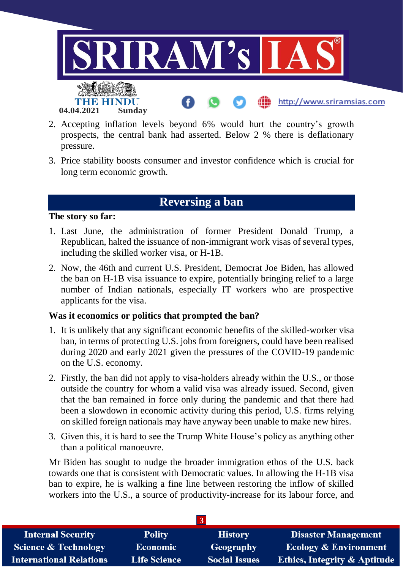

- 2. Accepting inflation levels beyond 6% would hurt the country's growth prospects, the central bank had asserted. Below 2 % there is deflationary pressure.
- 3. Price stability boosts consumer and investor confidence which is crucial for long term economic growth.

# **Reversing a ban**

#### **The story so far:**

- 1. Last June, the administration of former President Donald Trump, a Republican, halted the issuance of non-immigrant work visas of several types, including the skilled worker visa, or H-1B.
- 2. Now, the 46th and current U.S. President, Democrat Joe Biden, has allowed the ban on H-1B visa issuance to expire, potentially bringing relief to a large number of Indian nationals, especially IT workers who are prospective applicants for the visa.

## **Was it economics or politics that prompted the ban?**

- 1. It is unlikely that any significant economic benefits of the skilled-worker visa ban, in terms of protecting U.S. jobs from foreigners, could have been realised during 2020 and early 2021 given the pressures of the COVID-19 pandemic on the U.S. economy.
- 2. Firstly, the ban did not apply to visa-holders already within the U.S., or those outside the country for whom a valid visa was already issued. Second, given that the ban remained in force only during the pandemic and that there had been a slowdown in economic activity during this period, U.S. firms relying on skilled foreign nationals may have anyway been unable to make new hires.
- 3. Given this, it is hard to see the Trump White House's policy as anything other than a political manoeuvre.

Mr Biden has sought to nudge the broader immigration ethos of the U.S. back towards one that is consistent with Democratic values. In allowing the H-1B visa ban to expire, he is walking a fine line between restoring the inflow of skilled workers into the U.S., a source of productivity-increase for its labour force, and

| <b>Internal Security</b>        | <b>Polity</b>       | <b>History</b>       | <b>Disaster Management</b>              |  |  |
|---------------------------------|---------------------|----------------------|-----------------------------------------|--|--|
| <b>Science &amp; Technology</b> | <b>Economic</b>     | Geography            | <b>Ecology &amp; Environment</b>        |  |  |
| <b>International Relations</b>  | <b>Life Science</b> | <b>Social Issues</b> | <b>Ethics, Integrity &amp; Aptitude</b> |  |  |